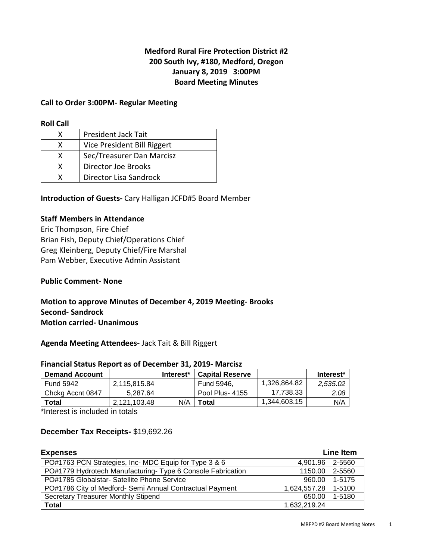## **Medford Rural Fire Protection District #2 200 South Ivy, #180, Medford, Oregon January 8, 2019 3:00PM Board Meeting Minutes**

#### **Call to Order 3:00PM- Regular Meeting**

#### **Roll Call**

| x | <b>President Jack Tait</b>  |
|---|-----------------------------|
| x | Vice President Bill Riggert |
| x | Sec/Treasurer Dan Marcisz   |
| x | Director Joe Brooks         |
|   | Director Lisa Sandrock      |

**Introduction of Guests-** Cary Halligan JCFD#5 Board Member

#### **Staff Members in Attendance**

Eric Thompson, Fire Chief Brian Fish, Deputy Chief/Operations Chief Greg Kleinberg, Deputy Chief/Fire Marshal Pam Webber, Executive Admin Assistant

#### **Public Comment- None**

**Motion to approve Minutes of December 4, 2019 Meeting- Brooks Second- Sandrock Motion carried- Unanimous** 

#### **Agenda Meeting Attendees-** Jack Tait & Bill Riggert

#### **Financial Status Report as of December 31, 2019- Marcisz**

| <b>Demand Account</b> |              | Interest <sup>*</sup> | <b>Capital Reserve</b> |              | Interest* |
|-----------------------|--------------|-----------------------|------------------------|--------------|-----------|
| <b>Fund 5942</b>      | 2,115,815.84 |                       | Fund 5946.             | 1,326,864.82 | 2.535.02  |
| Chckg Accnt 0847      | 5.287.64     |                       | Pool Plus- 4155        | 17,738.33    | 2.08      |
| Total                 | 2.121.103.48 | N/A                   | Total                  | 1,344,603.15 | N/A       |

\*Interest is included in totals

### **December Tax Receipts-** \$19,692.26

| <b>Expenses</b>                                             | Line Item       |        |  |
|-------------------------------------------------------------|-----------------|--------|--|
| PO#1763 PCN Strategies, Inc- MDC Equip for Type 3 & 6       | 4,901.96 2-5560 |        |  |
| PO#1779 Hydrotech Manufacturing- Type 6 Console Fabrication | 1150.00 2-5560  |        |  |
| PO#1785 Globalstar- Satellite Phone Service                 | 960.00          | 1-5175 |  |
| PO#1786 City of Medford- Semi Annual Contractual Payment    | 1,624,557.28    | 1-5100 |  |
| Secretary Treasurer Monthly Stipend                         | 650.00          | 1-5180 |  |
| <b>Total</b>                                                | 1,632,219.24    |        |  |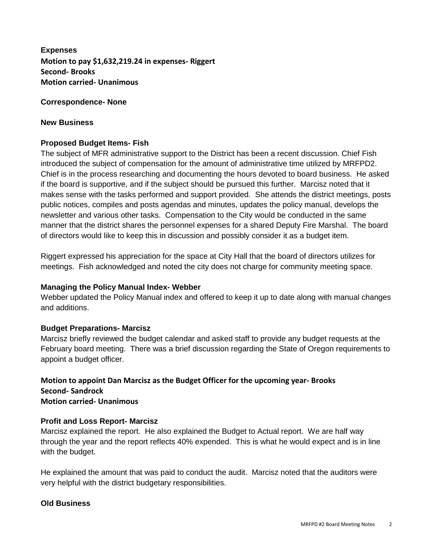**Expenses Motion to pay \$1,632,219.24 in expenses- Riggert Second- Brooks Motion carried- Unanimous** 

### **Correspondence- None**

### **New Business**

### **Proposed Budget Items- Fish**

The subject of MFR administrative support to the District has been a recent discussion. Chief Fish introduced the subject of compensation for the amount of administrative time utilized by MRFPD2. Chief is in the process researching and documenting the hours devoted to board business. He asked if the board is supportive, and if the subject should be pursued this further. Marcisz noted that it makes sense with the tasks performed and support provided. She attends the district meetings, posts public notices, compiles and posts agendas and minutes, updates the policy manual, develops the newsletter and various other tasks. Compensation to the City would be conducted in the same manner that the district shares the personnel expenses for a shared Deputy Fire Marshal. The board of directors would like to keep this in discussion and possibly consider it as a budget item.

Riggert expressed his appreciation for the space at City Hall that the board of directors utilizes for meetings. Fish acknowledged and noted the city does not charge for community meeting space.

### **Managing the Policy Manual Index- Webber**

Webber updated the Policy Manual index and offered to keep it up to date along with manual changes and additions.

### **Budget Preparations- Marcisz**

Marcisz briefly reviewed the budget calendar and asked staff to provide any budget requests at the February board meeting. There was a brief discussion regarding the State of Oregon requirements to appoint a budget officer.

#### **Motion to appoint Dan Marcisz as the Budget Officer for the upcoming year- Brooks Second- Sandrock Motion carried- Unanimous**

### **Profit and Loss Report- Marcisz**

Marcisz explained the report. He also explained the Budget to Actual report. We are half way through the year and the report reflects 40% expended. This is what he would expect and is in line with the budget.

He explained the amount that was paid to conduct the audit. Marcisz noted that the auditors were very helpful with the district budgetary responsibilities.

## **Old Business**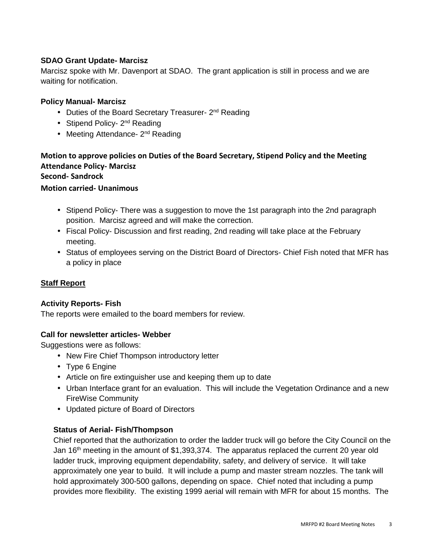## **SDAO Grant Update- Marcisz**

Marcisz spoke with Mr. Davenport at SDAO. The grant application is still in process and we are waiting for notification.

### **Policy Manual- Marcisz**

- Duties of the Board Secretary Treasurer- 2<sup>nd</sup> Reading
- Stipend Policy- 2<sup>nd</sup> Reading
- Meeting Attendance- 2<sup>nd</sup> Reading

# **Motion to approve policies on Duties of the Board Secretary, Stipend Policy and the Meeting Attendance Policy- Marcisz**

**Second- Sandrock** 

### **Motion carried- Unanimous**

- Stipend Policy- There was a suggestion to move the 1st paragraph into the 2nd paragraph position. Marcisz agreed and will make the correction.
- Fiscal Policy- Discussion and first reading, 2nd reading will take place at the February meeting.
- Status of employees serving on the District Board of Directors- Chief Fish noted that MFR has a policy in place

## **Staff Report**

### **Activity Reports- Fish**

The reports were emailed to the board members for review.

## **Call for newsletter articles- Webber**

Suggestions were as follows:

- New Fire Chief Thompson introductory letter
- Type 6 Engine
- Article on fire extinguisher use and keeping them up to date
- Urban Interface grant for an evaluation. This will include the Vegetation Ordinance and a new FireWise Community
- Updated picture of Board of Directors

### **Status of Aerial- Fish/Thompson**

Chief reported that the authorization to order the ladder truck will go before the City Council on the Jan 16<sup>th</sup> meeting in the amount of \$1,393,374. The apparatus replaced the current 20 year old ladder truck, improving equipment dependability, safety, and delivery of service. It will take approximately one year to build. It will include a pump and master stream nozzles. The tank will hold approximately 300-500 gallons, depending on space. Chief noted that including a pump provides more flexibility. The existing 1999 aerial will remain with MFR for about 15 months. The